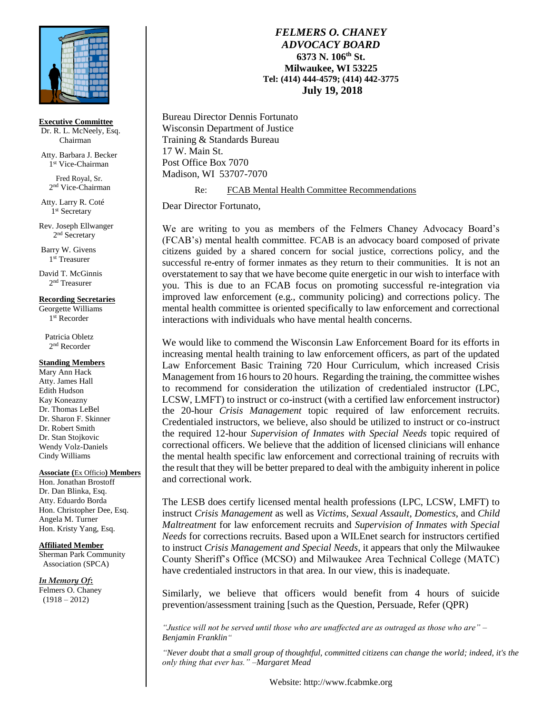

**Executive Committee**

Dr. R. L. McNeely, Esq. Chairman

Atty. Barbara J. Becker 1 st Vice-Chairman

 Fred Royal, Sr. 2<sup>nd</sup> Vice-Chairman

Atty. Larry R. Coté 1 st Secretary

Rev. Joseph Ellwanger 2<sup>nd</sup> Secretary

Barry W. Givens 1 st Treasurer

David T. McGinnis 2 nd Treasurer

#### **Recording Secretaries**

Georgette Williams 1 st Recorder

 Patricia Obletz 2<sup>nd</sup> Recorder

### **Standing Members**

Mary Ann Hack Atty. James Hall Edith Hudson Kay Koneazny Dr. Thomas LeBel Dr. Sharon F. Skinner Dr. Robert Smith Dr. Stan Stojkovic Wendy Volz-Daniels Cindy Williams

#### **Associate (**Ex Officio**) Members**

Hon. Jonathan Brostoff Dr. Dan Blinka, Esq. Atty. Eduardo Borda Hon. Christopher Dee, Esq. Angela M. Turner Hon. Kristy Yang, Esq.

## **Affiliated Member**

Sherman Park Community Association (SPCA)

*In Memory Of***:** Felmers O. Chaney (1918 – 2012)

# *FELMERS O. CHANEY ADVOCACY BOARD* **6373 N. 106th St. Milwaukee, WI 53225 Tel: (414) 444-4579; (414) 442-3775 July 19, 2018**

Bureau Director Dennis Fortunato Wisconsin Department of Justice Training & Standards Bureau 17 W. Main St. Post Office Box 7070 Madison, WI 53707-7070

Re: FCAB Mental Health Committee Recommendations

Dear Director Fortunato,

We are writing to you as members of the Felmers Chaney Advocacy Board's (FCAB's) mental health committee. FCAB is an advocacy board composed of private citizens guided by a shared concern for social justice, corrections policy, and the successful re-entry of former inmates as they return to their communities. It is not an overstatement to say that we have become quite energetic in our wish to interface with you. This is due to an FCAB focus on promoting successful re-integration via improved law enforcement (e.g., community policing) and corrections policy. The mental health committee is oriented specifically to law enforcement and correctional interactions with individuals who have mental health concerns.

We would like to commend the Wisconsin Law Enforcement Board for its efforts in increasing mental health training to law enforcement officers, as part of the updated Law Enforcement Basic Training 720 Hour Curriculum, which increased Crisis Management from 16 hours to 20 hours. Regarding the training, the committee wishes to recommend for consideration the utilization of credentialed instructor (LPC, LCSW, LMFT) to instruct or co-instruct (with a certified law enforcement instructor) the 20-hour *Crisis Management* topic required of law enforcement recruits. Credentialed instructors, we believe, also should be utilized to instruct or co-instruct the required 12-hour *Supervision of Inmates with Special Needs* topic required of correctional officers. We believe that the addition of licensed clinicians will enhance the mental health specific law enforcement and correctional training of recruits with the result that they will be better prepared to deal with the ambiguity inherent in police and correctional work.

The LESB does certify licensed mental health professions (LPC, LCSW, LMFT) to instruct *Crisis Management* as well as *Victims, Sexual Assault*, *Domestics*, and *Child Maltreatment* for law enforcement recruits and *Supervision of Inmates with Special Needs* for corrections recruits. Based upon a WILEnet search for instructors certified to instruct *Crisis Management and Special Needs*, it appears that only the Milwaukee County Sheriff's Office (MCSO) and Milwaukee Area Technical College (MATC) have credentialed instructors in that area. In our view, this is inadequate.

Similarly, we believe that officers would benefit from 4 hours of suicide prevention/assessment training [such as the Question, Persuade, Refer (QPR)

*"Justice will not be served until those who are unaffected are as outraged as those who are" – Benjamin Franklin"*

*"Never doubt that a small group of thoughtful, committed citizens can change the world; indeed, it's the only thing that ever has." –Margaret Mead*